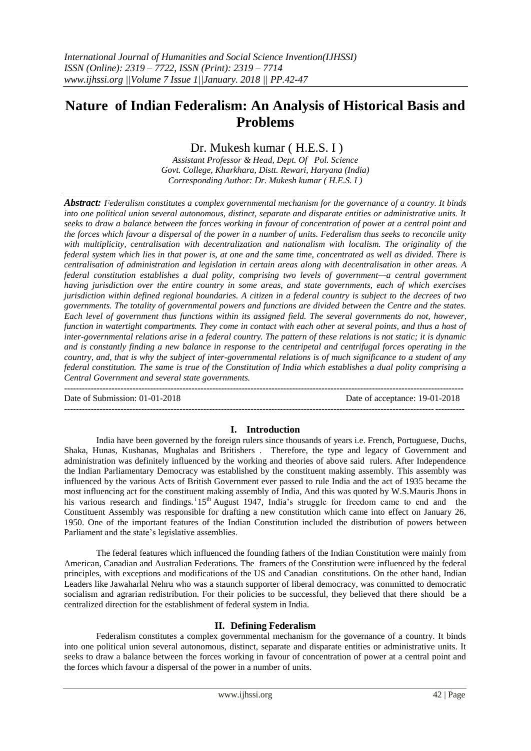# **Nature of Indian Federalism: An Analysis of Historical Basis and Problems**

## Dr. Mukesh kumar ( H.E.S. I )

*Assistant Professor & Head, Dept. Of Pol. Science Govt. College, Kharkhara, Distt. Rewari, Haryana (India) Corresponding Author: Dr. Mukesh kumar ( H.E.S. I )*

*Abstract: Federalism constitutes a complex governmental mechanism for the governance of a country. It binds into one political union several autonomous, distinct, separate and disparate entities or administrative units. It seeks to draw a balance between the forces working in favour of concentration of power at a central point and the forces which favour a dispersal of the power in a number of units. Federalism thus seeks to reconcile unity with multiplicity, centralisation with decentralization and nationalism with localism. The originality of the federal system which lies in that power is, at one and the same time, concentrated as well as divided. There is centralisation of administration and legislation in certain areas along with decentralisation in other areas. A federal constitution establishes a dual polity, comprising two levels of government—a central government having jurisdiction over the entire country in some areas, and state governments, each of which exercises jurisdiction within defined regional boundaries. A citizen in a federal country is subject to the decrees of two governments. The totality of governmental powers and functions are divided between the Centre and the states. Each level of government thus functions within its assigned field. The several governments do not, however, function in watertight compartments. They come in contact with each other at several points, and thus a host of inter-governmental relations arise in a federal country. The pattern of these relations is not static; it is dynamic and is constantly finding a new balance in response to the centripetal and centrifugal forces operating in the country, and, that is why the subject of inter-governmental relations is of much significance to a student of any federal constitution. The same is true of the Constitution of India which establishes a dual polity comprising a Central Government and several state governments.*

**---------------------------------------------------------------------------------------------------------------------------------------** Date of Submission: 01-01-2018 Date of acceptance: 19-01-2018 **---------------------------------------------------------------------------------------------------------------------------------------**

## **I. Introduction**

India have been governed by the foreign rulers since thousands of years i.e. French, Portuguese, Duchs, Shaka, Hunas, Kushanas, Mughalas and Britishers . Therefore, the type and legacy of Government and administration was definitely influenced by the working and theories of above said rulers. After Independence the Indian Parliamentary Democracy was established by the constituent making assembly. This assembly was influenced by the various Acts of British Government ever passed to rule India and the act of 1935 became the most influencing act for the constituent making assembly of India, And this was quoted by W.S.Mauris Jhons in his various research and findings. 15<sup>th</sup> August 1947, India's struggle for freedom came to end and the Constituent Assembly was responsible for drafting a new constitution which came into effect on January 26, 1950. One of the important features of the Indian Constitution included the distribution of powers between Parliament and the state's legislative assemblies.

The federal features which influenced the founding fathers of the Indian Constitution were mainly from American, Canadian and Australian Federations. The framers of the Constitution were influenced by the federal principles, with exceptions and modifications of the US and Canadian constitutions. On the other hand, Indian Leaders like Jawaharlal Nehru who was a staunch supporter of liberal democracy, was committed to democratic socialism and agrarian redistribution. For their policies to be successful, they believed that there should be a centralized direction for the establishment of federal system in India.

#### **II. Defining Federalism**

Federalism constitutes a complex governmental mechanism for the governance of a country. It binds into one political union several autonomous, distinct, separate and disparate entities or administrative units. It seeks to draw a balance between the forces working in favour of concentration of power at a central point and the forces which favour a dispersal of the power in a number of units.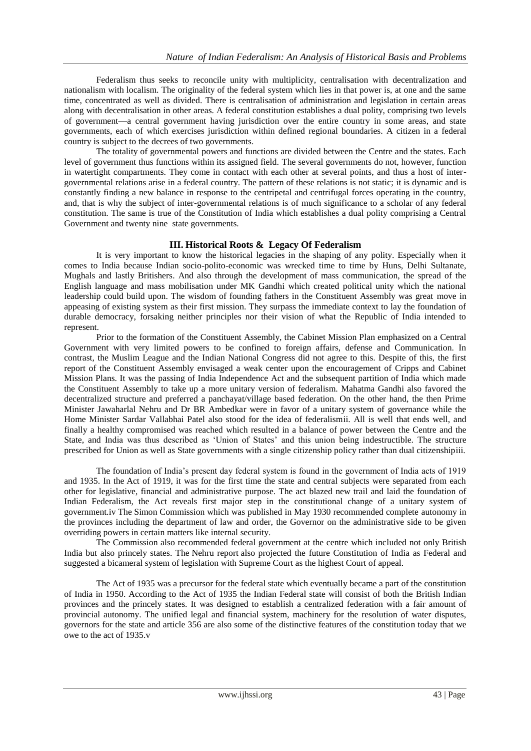Federalism thus seeks to reconcile unity with multiplicity, centralisation with decentralization and nationalism with localism. The originality of the federal system which lies in that power is, at one and the same time, concentrated as well as divided. There is centralisation of administration and legislation in certain areas along with decentralisation in other areas. A federal constitution establishes a dual polity, comprising two levels of government—a central government having jurisdiction over the entire country in some areas, and state governments, each of which exercises jurisdiction within defined regional boundaries. A citizen in a federal country is subject to the decrees of two governments.

The totality of governmental powers and functions are divided between the Centre and the states. Each level of government thus functions within its assigned field. The several governments do not, however, function in watertight compartments. They come in contact with each other at several points, and thus a host of intergovernmental relations arise in a federal country. The pattern of these relations is not static; it is dynamic and is constantly finding a new balance in response to the centripetal and centrifugal forces operating in the country, and, that is why the subject of inter-governmental relations is of much significance to a scholar of any federal constitution. The same is true of the Constitution of India which establishes a dual polity comprising a Central Government and twenty nine state governments.

## **III. Historical Roots & Legacy Of Federalism**

It is very important to know the historical legacies in the shaping of any polity. Especially when it comes to India because Indian socio-polito-economic was wrecked time to time by Huns, Delhi Sultanate, Mughals and lastly Britishers. And also through the development of mass communication, the spread of the English language and mass mobilisation under MK Gandhi which created political unity which the national leadership could build upon. The wisdom of founding fathers in the Constituent Assembly was great move in appeasing of existing system as their first mission. They surpass the immediate context to lay the foundation of durable democracy, forsaking neither principles nor their vision of what the Republic of India intended to represent.

Prior to the formation of the Constituent Assembly, the Cabinet Mission Plan emphasized on a Central Government with very limited powers to be confined to foreign affairs, defense and Communication. In contrast, the Muslim League and the Indian National Congress did not agree to this. Despite of this, the first report of the Constituent Assembly envisaged a weak center upon the encouragement of Cripps and Cabinet Mission Plans. It was the passing of India Independence Act and the subsequent partition of India which made the Constituent Assembly to take up a more unitary version of federalism. Mahatma Gandhi also favored the decentralized structure and preferred a panchayat/village based federation. On the other hand, the then Prime Minister Jawaharlal Nehru and Dr BR Ambedkar were in favor of a unitary system of governance while the Home Minister Sardar Vallabhai Patel also stood for the idea of federalismii. All is well that ends well, and finally a healthy compromised was reached which resulted in a balance of power between the Centre and the State, and India was thus described as 'Union of States' and this union being indestructible. The structure prescribed for Union as well as State governments with a single citizenship policy rather than dual citizenshipiii.

The foundation of India's present day federal system is found in the government of India acts of 1919 and 1935. In the Act of 1919, it was for the first time the state and central subjects were separated from each other for legislative, financial and administrative purpose. The act blazed new trail and laid the foundation of Indian Federalism, the Act reveals first major step in the constitutional change of a unitary system of government.iv The Simon Commission which was published in May 1930 recommended complete autonomy in the provinces including the department of law and order, the Governor on the administrative side to be given overriding powers in certain matters like internal security.

The Commission also recommended federal government at the centre which included not only British India but also princely states. The Nehru report also projected the future Constitution of India as Federal and suggested a bicameral system of legislation with Supreme Court as the highest Court of appeal.

The Act of 1935 was a precursor for the federal state which eventually became a part of the constitution of India in 1950. According to the Act of 1935 the Indian Federal state will consist of both the British Indian provinces and the princely states. It was designed to establish a centralized federation with a fair amount of provincial autonomy. The unified legal and financial system, machinery for the resolution of water disputes, governors for the state and article 356 are also some of the distinctive features of the constitution today that we owe to the act of 1935.v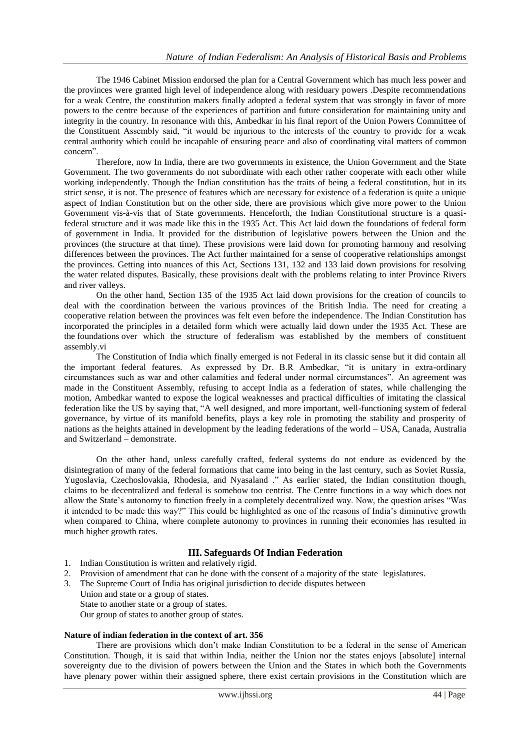The 1946 Cabinet Mission endorsed the plan for a Central Government which has much less power and the provinces were granted high level of independence along with residuary powers .Despite recommendations for a weak Centre, the constitution makers finally adopted a federal system that was strongly in favor of more powers to the centre because of the experiences of partition and future consideration for maintaining unity and integrity in the country. In resonance with this, Ambedkar in his final report of the Union Powers Committee of the Constituent Assembly said, "it would be injurious to the interests of the country to provide for a weak central authority which could be incapable of ensuring peace and also of coordinating vital matters of common concern".

Therefore, now In India, there are two governments in existence, the Union Government and the State Government. The two governments do not subordinate with each other rather cooperate with each other while working independently. Though the Indian constitution has the traits of being a federal constitution, but in its strict sense, it is not. The presence of features which are necessary for existence of a federation is quite a unique aspect of Indian Constitution but on the other side, there are provisions which give more power to the Union Government vis-à-vis that of State governments. Henceforth, the Indian Constitutional structure is a quasifederal structure and it was made like this in the 1935 Act. This Act laid down the foundations of federal form of government in India. It provided for the distribution of legislative powers between the Union and the provinces (the structure at that time). These provisions were laid down for promoting harmony and resolving differences between the provinces. The Act further maintained for a sense of cooperative relationships amongst the provinces. Getting into nuances of this Act, Sections 131, 132 and 133 laid down provisions for resolving the water related disputes. Basically, these provisions dealt with the problems relating to inter Province Rivers and river valleys.

On the other hand, Section 135 of the 1935 Act laid down provisions for the creation of councils to deal with the coordination between the various provinces of the British India. The need for creating a cooperative relation between the provinces was felt even before the independence. The Indian Constitution has incorporated the principles in a detailed form which were actually laid down under the 1935 Act. These are the foundations over which the structure of federalism was established by the members of constituent assembly.vi

The Constitution of India which finally emerged is not Federal in its classic sense but it did contain all the important federal features. As expressed by Dr. B.R Ambedkar, "it is unitary in extra-ordinary circumstances such as war and other calamities and federal under normal circumstances". An agreement was made in the Constituent Assembly, refusing to accept India as a federation of states, while challenging the motion, Ambedkar wanted to expose the logical weaknesses and practical difficulties of imitating the classical federation like the US by saying that, "A well designed, and more important, well-functioning system of federal governance, by virtue of its manifold benefits, plays a key role in promoting the stability and prosperity of nations as the heights attained in development by the leading federations of the world – USA, Canada, Australia and Switzerland – demonstrate.

On the other hand, unless carefully crafted, federal systems do not endure as evidenced by the disintegration of many of the federal formations that came into being in the last century, such as Soviet Russia, Yugoslavia, Czechoslovakia, Rhodesia, and Nyasaland ." As earlier stated, the Indian constitution though, claims to be decentralized and federal is somehow too centrist. The Centre functions in a way which does not allow the State's autonomy to function freely in a completely decentralized way. Now, the question arises "Was it intended to be made this way?" This could be highlighted as one of the reasons of India's diminutive growth when compared to China, where complete autonomy to provinces in running their economies has resulted in much higher growth rates.

## **III. Safeguards Of Indian Federation**

- 1. Indian Constitution is written and relatively rigid.
- 2. Provision of amendment that can be done with the consent of a majority of the state legislatures.
- 3. The Supreme Court of India has original jurisdiction to decide disputes between
	- Union and state or a group of states.

State to another state or a group of states.

Our group of states to another group of states.

#### **Nature of indian federation in the context of art. 356**

There are provisions which don't make Indian Constitution to be a federal in the sense of American Constitution. Though, it is said that within India, neither the Union nor the states enjoys [absolute] internal sovereignty due to the division of powers between the Union and the States in which both the Governments have plenary power within their assigned sphere, there exist certain provisions in the Constitution which are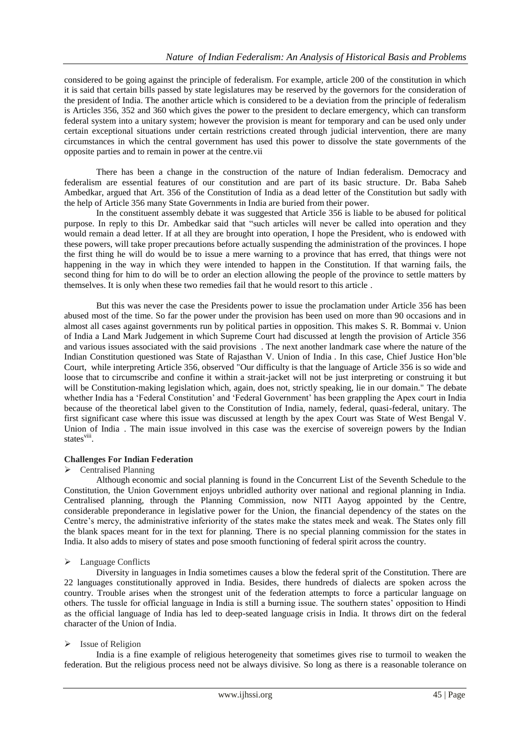considered to be going against the principle of federalism. For example, article 200 of the constitution in which it is said that certain bills passed by state legislatures may be reserved by the governors for the consideration of the president of India. The another article which is considered to be a deviation from the principle of federalism is Articles 356, 352 and 360 which gives the power to the president to declare emergency, which can transform federal system into a unitary system; however the provision is meant for temporary and can be used only under certain exceptional situations under certain restrictions created through judicial intervention, there are many circumstances in which the central government has used this power to dissolve the state governments of the opposite parties and to remain in power at the centre.vii

There has been a change in the construction of the nature of Indian federalism. Democracy and federalism are essential features of our constitution and are part of its basic structure. Dr. Baba Saheb Ambedkar, argued that Art. 356 of the Constitution of India as a dead letter of the Constitution but sadly with the help of Article 356 many State Governments in India are buried from their power.

In the constituent assembly debate it was suggested that Article 356 is liable to be abused for political purpose. In reply to this Dr. Ambedkar said that "such articles will never be called into operation and they would remain a dead letter. If at all they are brought into operation, I hope the President, who is endowed with these powers, will take proper precautions before actually suspending the administration of the provinces. I hope the first thing he will do would be to issue a mere warning to a province that has erred, that things were not happening in the way in which they were intended to happen in the Constitution. If that warning fails, the second thing for him to do will be to order an election allowing the people of the province to settle matters by themselves. It is only when these two remedies fail that he would resort to this article .

But this was never the case the Presidents power to issue the proclamation under Article 356 has been abused most of the time. So far the power under the provision has been used on more than 90 occasions and in almost all cases against governments run by political parties in opposition. This makes S. R. Bommai v. Union of India a Land Mark Judgement in which Supreme Court had discussed at length the provision of Article 356 and various issues associated with the said provisions . The next another landmark case where the nature of the Indian Constitution questioned was State of Rajasthan V. Union of India . In this case, Chief Justice Hon'ble Court, while interpreting Article 356, observed "Our difficulty is that the language of Article 356 is so wide and loose that to circumscribe and confine it within a strait-jacket will not be just interpreting or construing it but will be Constitution-making legislation which, again, does not, strictly speaking, lie in our domain." The debate whether India has a 'Federal Constitution' and 'Federal Government' has been grappling the Apex court in India because of the theoretical label given to the Constitution of India, namely, federal, quasi-federal, unitary. The first significant case where this issue was discussed at length by the apex Court was State of West Bengal V. Union of India . The main issue involved in this case was the exercise of sovereign powers by the Indian states<sup>viii</sup>.

## **Challenges For Indian Federation**

#### $\triangleright$  Centralised Planning

Although economic and social planning is found in the Concurrent List of the Seventh Schedule to the Constitution, the Union Government enjoys unbridled authority over national and regional planning in India. Centralised planning, through the Planning Commission, now NITI Aayog appointed by the Centre, considerable preponderance in legislative power for the Union, the financial dependency of the states on the Centre's mercy, the administrative inferiority of the states make the states meek and weak. The States only fill the blank spaces meant for in the text for planning. There is no special planning commission for the states in India. It also adds to misery of states and pose smooth functioning of federal spirit across the country.

#### > Language Conflicts

Diversity in languages in India sometimes causes a blow the federal sprit of the Constitution. There are 22 languages constitutionally approved in India. Besides, there hundreds of dialects are spoken across the country. Trouble arises when the strongest unit of the federation attempts to force a particular language on others. The tussle for official language in India is still a burning issue. The southern states' opposition to Hindi as the official language of India has led to deep-seated language crisis in India. It throws dirt on the federal character of the Union of India.

#### $\triangleright$  Issue of Religion

India is a fine example of religious heterogeneity that sometimes gives rise to turmoil to weaken the federation. But the religious process need not be always divisive. So long as there is a reasonable tolerance on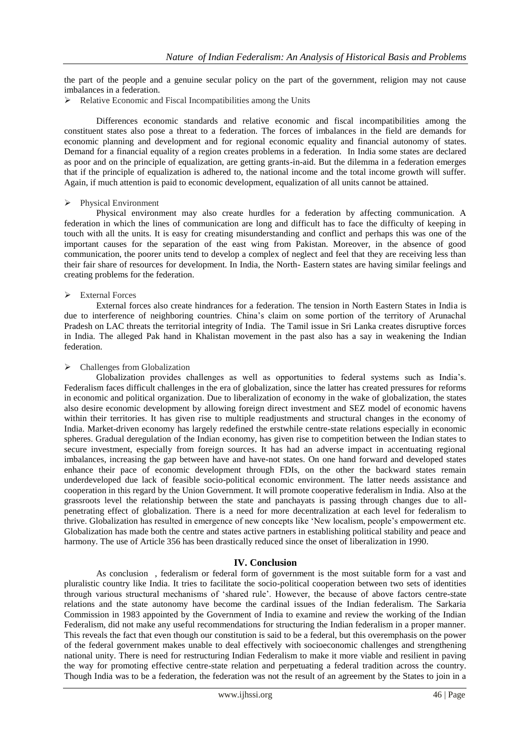the part of the people and a genuine secular policy on the part of the government, religion may not cause imbalances in a federation.

 $\triangleright$  Relative Economic and Fiscal Incompatibilities among the Units

Differences economic standards and relative economic and fiscal incompatibilities among the constituent states also pose a threat to a federation. The forces of imbalances in the field are demands for economic planning and development and for regional economic equality and financial autonomy of states. Demand for a financial equality of a region creates problems in a federation. In India some states are declared as poor and on the principle of equalization, are getting grants-in-aid. But the dilemma in a federation emerges that if the principle of equalization is adhered to, the national income and the total income growth will suffer. Again, if much attention is paid to economic development, equalization of all units cannot be attained.

#### Physical Environment

Physical environment may also create hurdles for a federation by affecting communication. A federation in which the lines of communication are long and difficult has to face the difficulty of keeping in touch with all the units. It is easy for creating misunderstanding and conflict and perhaps this was one of the important causes for the separation of the east wing from Pakistan. Moreover, in the absence of good communication, the poorer units tend to develop a complex of neglect and feel that they are receiving less than their fair share of resources for development. In India, the North- Eastern states are having similar feelings and creating problems for the federation.

#### $\triangleright$  External Forces

External forces also create hindrances for a federation. The tension in North Eastern States in India is due to interference of neighboring countries. China's claim on some portion of the territory of Arunachal Pradesh on LAC threats the territorial integrity of India. The Tamil issue in Sri Lanka creates disruptive forces in India. The alleged Pak hand in Khalistan movement in the past also has a say in weakening the Indian federation.

#### $\triangleright$  Challenges from Globalization

Globalization provides challenges as well as opportunities to federal systems such as India's. Federalism faces difficult challenges in the era of globalization, since the latter has created pressures for reforms in economic and political organization. Due to liberalization of economy in the wake of globalization, the states also desire economic development by allowing foreign direct investment and SEZ model of economic havens within their territories. It has given rise to multiple readjustments and structural changes in the economy of India. Market-driven economy has largely redefined the erstwhile centre-state relations especially in economic spheres. Gradual deregulation of the Indian economy, has given rise to competition between the Indian states to secure investment, especially from foreign sources. It has had an adverse impact in accentuating regional imbalances, increasing the gap between have and have-not states. On one hand forward and developed states enhance their pace of economic development through FDIs, on the other the backward states remain underdeveloped due lack of feasible socio-political economic environment. The latter needs assistance and cooperation in this regard by the Union Government. It will promote cooperative federalism in India. Also at the grassroots level the relationship between the state and panchayats is passing through changes due to allpenetrating effect of globalization. There is a need for more decentralization at each level for federalism to thrive. Globalization has resulted in emergence of new concepts like 'New localism, people's empowerment etc. Globalization has made both the centre and states active partners in establishing political stability and peace and harmony. The use of Article 356 has been drastically reduced since the onset of liberalization in 1990.

#### **IV. Conclusion**

As conclusion , federalism or federal form of government is the most suitable form for a vast and pluralistic country like India. It tries to facilitate the socio-political cooperation between two sets of identities through various structural mechanisms of 'shared rule'. However, the because of above factors centre-state relations and the state autonomy have become the cardinal issues of the Indian federalism. The Sarkaria Commission in 1983 appointed by the Government of India to examine and review the working of the Indian Federalism, did not make any useful recommendations for structuring the Indian federalism in a proper manner. This reveals the fact that even though our constitution is said to be a federal, but this overemphasis on the power of the federal government makes unable to deal effectively with socioeconomic challenges and strengthening national unity. There is need for restructuring Indian Federalism to make it more viable and resilient in paving the way for promoting effective centre-state relation and perpetuating a federal tradition across the country. Though India was to be a federation, the federation was not the result of an agreement by the States to join in a